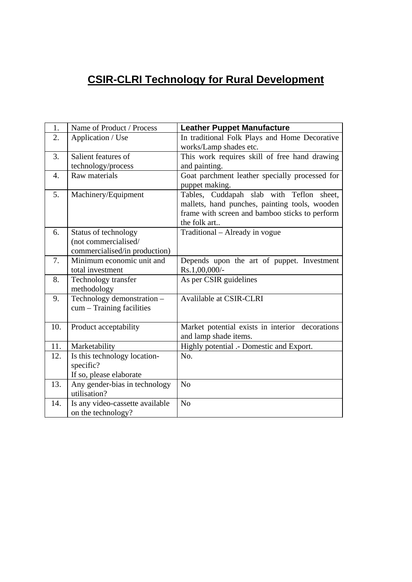## **CSIR-CLRI Technology for Rural Development**

| 1.  | Name of Product / Process                     | <b>Leather Puppet Manufacture</b>               |
|-----|-----------------------------------------------|-------------------------------------------------|
| 2.  | Application / Use                             | In traditional Folk Plays and Home Decorative   |
|     |                                               | works/Lamp shades etc.                          |
| 3.  | Salient features of                           | This work requires skill of free hand drawing   |
|     | technology/process                            | and painting.                                   |
| 4.  | Raw materials                                 | Goat parchment leather specially processed for  |
|     |                                               | puppet making.                                  |
| 5.  | Machinery/Equipment                           | Tables, Cuddapah slab with Teflon<br>sheet,     |
|     |                                               | mallets, hand punches, painting tools, wooden   |
|     |                                               | frame with screen and bamboo sticks to perform  |
|     |                                               | the folk art                                    |
| 6.  | Status of technology                          | Traditional – Already in vogue                  |
|     | (not commercialised/                          |                                                 |
|     | commercialised/in production)                 |                                                 |
| 7.  | Minimum economic unit and                     | Depends upon the art of puppet. Investment      |
|     | total investment                              | $Rs.1,00,000/$ -                                |
| 8.  | Technology transfer                           | As per CSIR guidelines                          |
|     | methodology                                   |                                                 |
| 9.  | Technology demonstration -                    | Avalilable at CSIR-CLRI                         |
|     | $cum - Training facilities$                   |                                                 |
|     |                                               |                                                 |
| 10. | Product acceptability                         | Market potential exists in interior decorations |
|     |                                               | and lamp shade items.                           |
| 11. | Marketability                                 | Highly potential .- Domestic and Export.        |
| 12. | Is this technology location-                  | No.                                             |
|     | specific?                                     |                                                 |
|     | If so, please elaborate                       | N <sub>o</sub>                                  |
| 13. | Any gender-bias in technology<br>utilisation? |                                                 |
|     |                                               | N <sub>o</sub>                                  |
| 14. | Is any video-cassette available               |                                                 |
|     | on the technology?                            |                                                 |